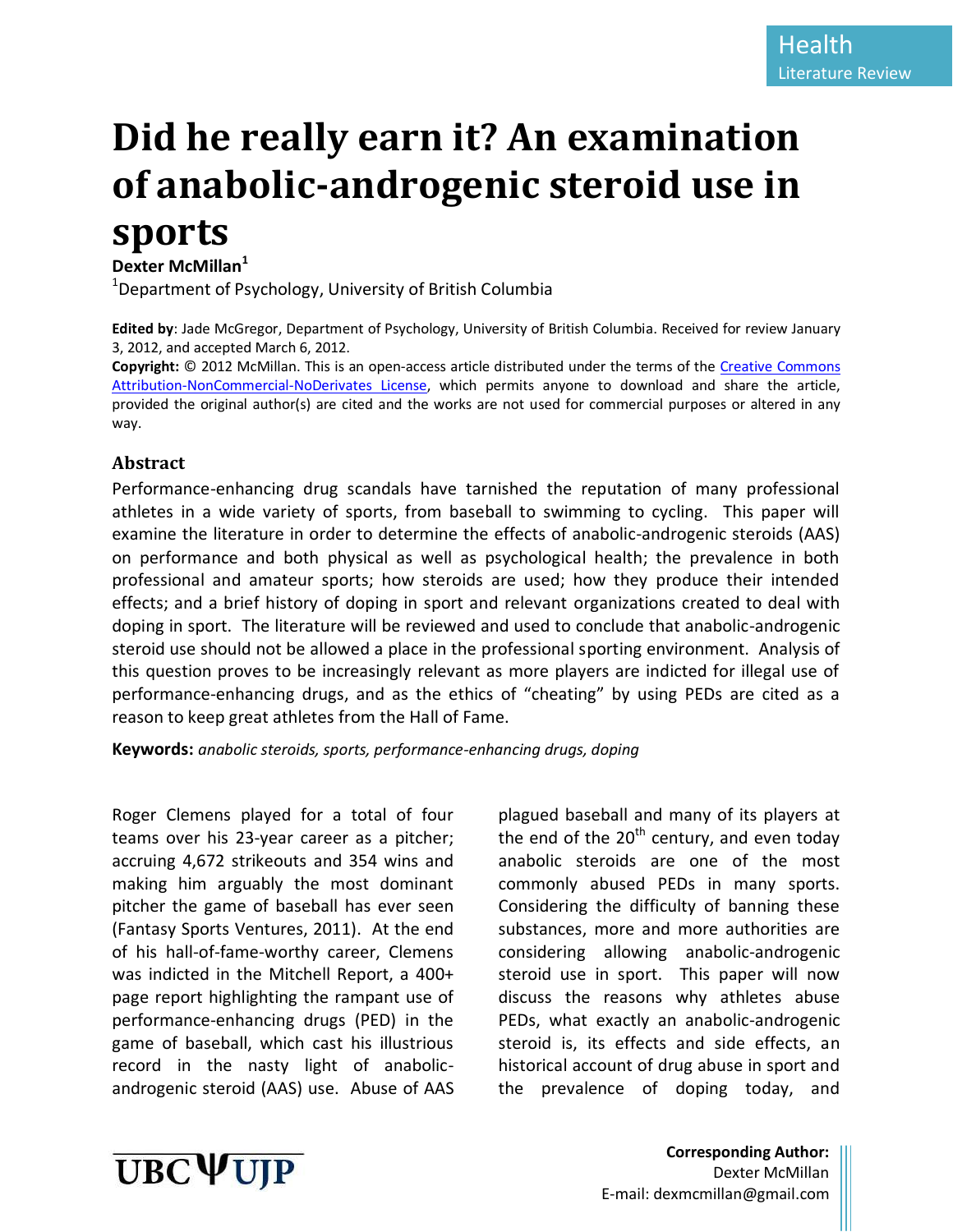# **Did he really earn it? An examination of anabolic-androgenic steroid use in sports**

## **Dexter McMillan<sup>1</sup>**

<sup>1</sup>Department of Psychology, University of British Columbia

**Edited by**: Jade McGregor, Department of Psychology, University of British Columbia. Received for review January 3, 2012, and accepted March 6, 2012.

**Copyright:** © 2012 McMillan. This is an open-access article distributed under the terms of the [Creative Commons](http://creativecommons.org/licenses/by-nc-nd/3.0/legalcode)  [Attribution-NonCommercial-NoDerivates License,](http://creativecommons.org/licenses/by-nc-nd/3.0/legalcode) which permits anyone to download and share the article, provided the original author(s) are cited and the works are not used for commercial purposes or altered in any way.

### **Abstract**

Performance-enhancing drug scandals have tarnished the reputation of many professional athletes in a wide variety of sports, from baseball to swimming to cycling. This paper will examine the literature in order to determine the effects of anabolic-androgenic steroids (AAS) on performance and both physical as well as psychological health; the prevalence in both professional and amateur sports; how steroids are used; how they produce their intended effects; and a brief history of doping in sport and relevant organizations created to deal with doping in sport. The literature will be reviewed and used to conclude that anabolic-androgenic steroid use should not be allowed a place in the professional sporting environment. Analysis of this question proves to be increasingly relevant as more players are indicted for illegal use of performance-enhancing drugs, and as the ethics of "cheating" by using PEDs are cited as a reason to keep great athletes from the Hall of Fame.

**Keywords:** *anabolic steroids, sports, performance-enhancing drugs, doping*

Roger Clemens played for a total of four teams over his 23-year career as a pitcher; accruing 4,672 strikeouts and 354 wins and making him arguably the most dominant pitcher the game of baseball has ever seen (Fantasy Sports Ventures, 2011). At the end of his hall-of-fame-worthy career, Clemens was indicted in the Mitchell Report, a 400+ page report highlighting the rampant use of performance-enhancing drugs (PED) in the game of baseball, which cast his illustrious record in the nasty light of anabolicandrogenic steroid (AAS) use. Abuse of AAS

plagued baseball and many of its players at the end of the  $20<sup>th</sup>$  century, and even today anabolic steroids are one of the most commonly abused PEDs in many sports. Considering the difficulty of banning these substances, more and more authorities are considering allowing anabolic-androgenic steroid use in sport. This paper will now discuss the reasons why athletes abuse PEDs, what exactly an anabolic-androgenic steroid is, its effects and side effects, an historical account of drug abuse in sport and the prevalence of doping today, and



**Corresponding Author:** Dexter McMillan E-mail: dexmcmillan@gmail.com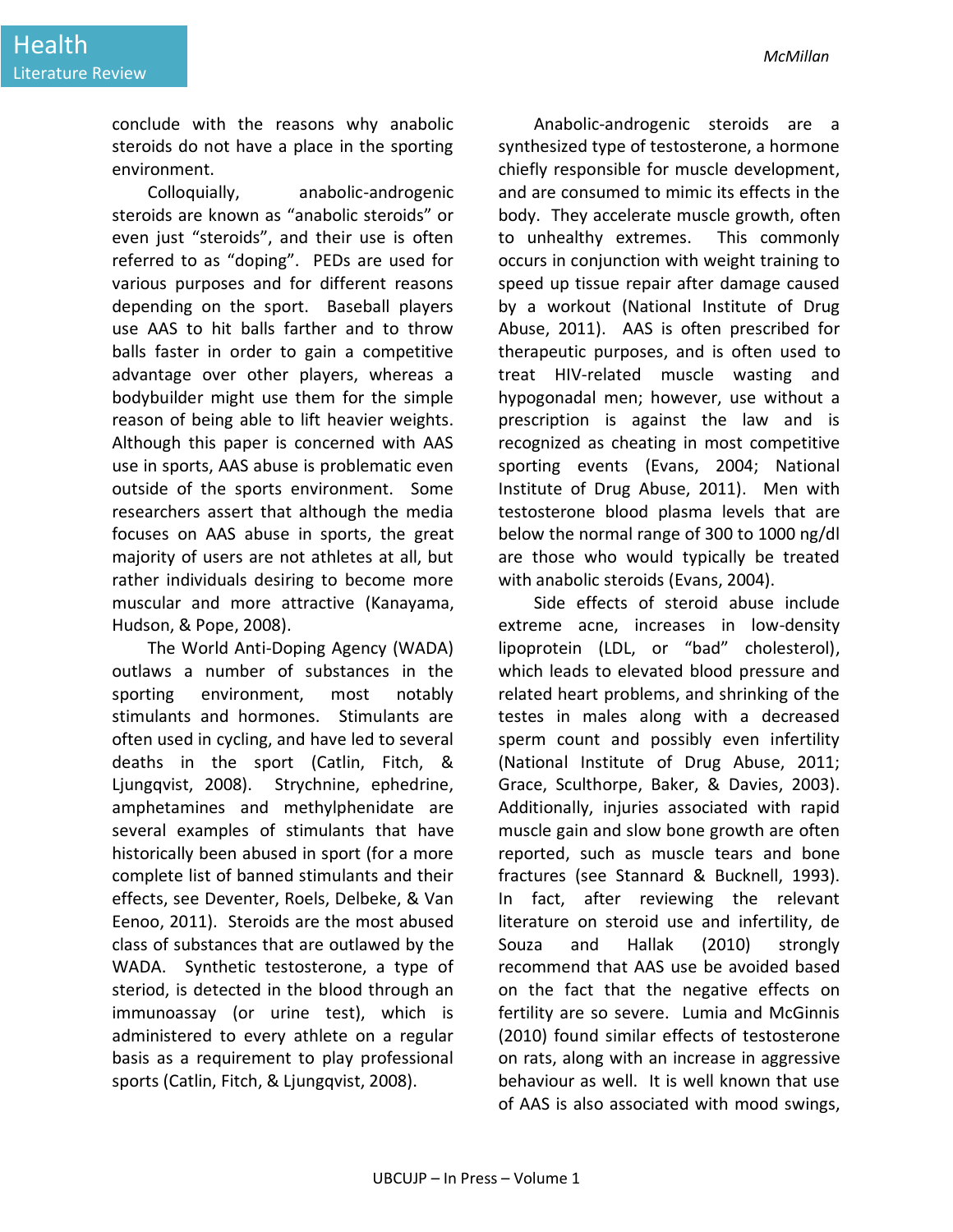conclude with the reasons why anabolic steroids do not have a place in the sporting environment.

Colloquially, anabolic-androgenic steroids are known as "anabolic steroids" or even just "steroids", and their use is often referred to as "doping". PEDs are used for various purposes and for different reasons depending on the sport. Baseball players use AAS to hit balls farther and to throw balls faster in order to gain a competitive advantage over other players, whereas a bodybuilder might use them for the simple reason of being able to lift heavier weights. Although this paper is concerned with AAS use in sports, AAS abuse is problematic even outside of the sports environment. Some researchers assert that although the media focuses on AAS abuse in sports, the great majority of users are not athletes at all, but rather individuals desiring to become more muscular and more attractive (Kanayama, Hudson, & Pope, 2008).

The World Anti-Doping Agency (WADA) outlaws a number of substances in the sporting environment, most notably stimulants and hormones. Stimulants are often used in cycling, and have led to several deaths in the sport (Catlin, Fitch, & Ljungqvist, 2008). Strychnine, ephedrine, amphetamines and methylphenidate are several examples of stimulants that have historically been abused in sport (for a more complete list of banned stimulants and their effects, see Deventer, Roels, Delbeke, & Van Eenoo, 2011). Steroids are the most abused class of substances that are outlawed by the WADA. Synthetic testosterone, a type of steriod, is detected in the blood through an immunoassay (or urine test), which is administered to every athlete on a regular basis as a requirement to play professional sports (Catlin, Fitch, & Ljungqvist, 2008).

Anabolic-androgenic steroids are a synthesized type of testosterone, a hormone chiefly responsible for muscle development, and are consumed to mimic its effects in the body. They accelerate muscle growth, often to unhealthy extremes. This commonly occurs in conjunction with weight training to speed up tissue repair after damage caused by a workout (National Institute of Drug Abuse, 2011). AAS is often prescribed for therapeutic purposes, and is often used to treat HIV-related muscle wasting and hypogonadal men; however, use without a prescription is against the law and is recognized as cheating in most competitive sporting events (Evans, 2004; National Institute of Drug Abuse, 2011). Men with testosterone blood plasma levels that are below the normal range of 300 to 1000 ng/dl are those who would typically be treated with anabolic steroids (Evans, 2004).

Side effects of steroid abuse include extreme acne, increases in low-density lipoprotein (LDL, or "bad" cholesterol), which leads to elevated blood pressure and related heart problems, and shrinking of the testes in males along with a decreased sperm count and possibly even infertility (National Institute of Drug Abuse, 2011; Grace, Sculthorpe, Baker, & Davies, 2003). Additionally, injuries associated with rapid muscle gain and slow bone growth are often reported, such as muscle tears and bone fractures (see Stannard & Bucknell, 1993). In fact, after reviewing the relevant literature on steroid use and infertility, de Souza and Hallak (2010) strongly recommend that AAS use be avoided based on the fact that the negative effects on fertility are so severe. Lumia and McGinnis (2010) found similar effects of testosterone on rats, along with an increase in aggressive behaviour as well. It is well known that use of AAS is also associated with mood swings,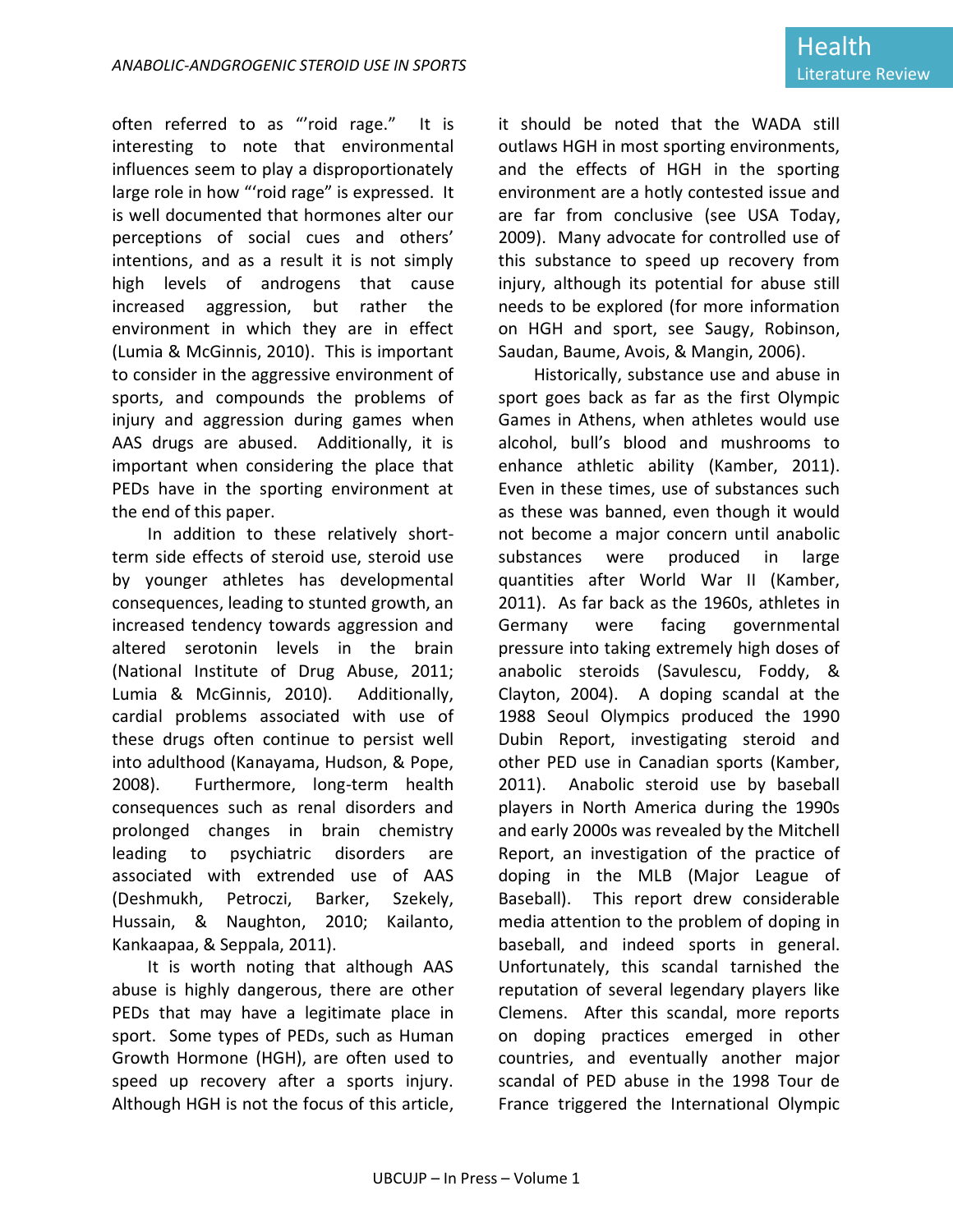often referred to as "'roid rage." It is interesting to note that environmental influences seem to play a disproportionately large role in how "'roid rage" is expressed. It is well documented that hormones alter our perceptions of social cues and others' intentions, and as a result it is not simply high levels of androgens that cause increased aggression, but rather the environment in which they are in effect (Lumia & McGinnis, 2010). This is important to consider in the aggressive environment of sports, and compounds the problems of injury and aggression during games when AAS drugs are abused. Additionally, it is important when considering the place that PEDs have in the sporting environment at the end of this paper.

In addition to these relatively shortterm side effects of steroid use, steroid use by younger athletes has developmental consequences, leading to stunted growth, an increased tendency towards aggression and altered serotonin levels in the brain (National Institute of Drug Abuse, 2011; Lumia & McGinnis, 2010). Additionally, cardial problems associated with use of these drugs often continue to persist well into adulthood (Kanayama, Hudson, & Pope, 2008). Furthermore, long-term health consequences such as renal disorders and prolonged changes in brain chemistry leading to psychiatric disorders are associated with extrended use of AAS (Deshmukh, Petroczi, Barker, Szekely, Hussain, & Naughton, 2010; Kailanto, Kankaapaa, & Seppala, 2011).

It is worth noting that although AAS abuse is highly dangerous, there are other PEDs that may have a legitimate place in sport. Some types of PEDs, such as Human Growth Hormone (HGH), are often used to speed up recovery after a sports injury. Although HGH is not the focus of this article, it should be noted that the WADA still outlaws HGH in most sporting environments, and the effects of HGH in the sporting environment are a hotly contested issue and are far from conclusive (see USA Today, 2009). Many advocate for controlled use of this substance to speed up recovery from injury, although its potential for abuse still needs to be explored (for more information on HGH and sport, see Saugy, Robinson, Saudan, Baume, Avois, & Mangin, 2006).

Historically, substance use and abuse in sport goes back as far as the first Olympic Games in Athens, when athletes would use alcohol, bull's blood and mushrooms to enhance athletic ability (Kamber, 2011). Even in these times, use of substances such as these was banned, even though it would not become a major concern until anabolic substances were produced in large quantities after World War II (Kamber, 2011). As far back as the 1960s, athletes in Germany were facing governmental pressure into taking extremely high doses of anabolic steroids (Savulescu, Foddy, & Clayton, 2004). A doping scandal at the 1988 Seoul Olympics produced the 1990 Dubin Report, investigating steroid and other PED use in Canadian sports (Kamber, 2011). Anabolic steroid use by baseball players in North America during the 1990s and early 2000s was revealed by the Mitchell Report, an investigation of the practice of doping in the MLB (Major League of Baseball). This report drew considerable media attention to the problem of doping in baseball, and indeed sports in general. Unfortunately, this scandal tarnished the reputation of several legendary players like Clemens. After this scandal, more reports on doping practices emerged in other countries, and eventually another major scandal of PED abuse in the 1998 Tour de France triggered the International Olympic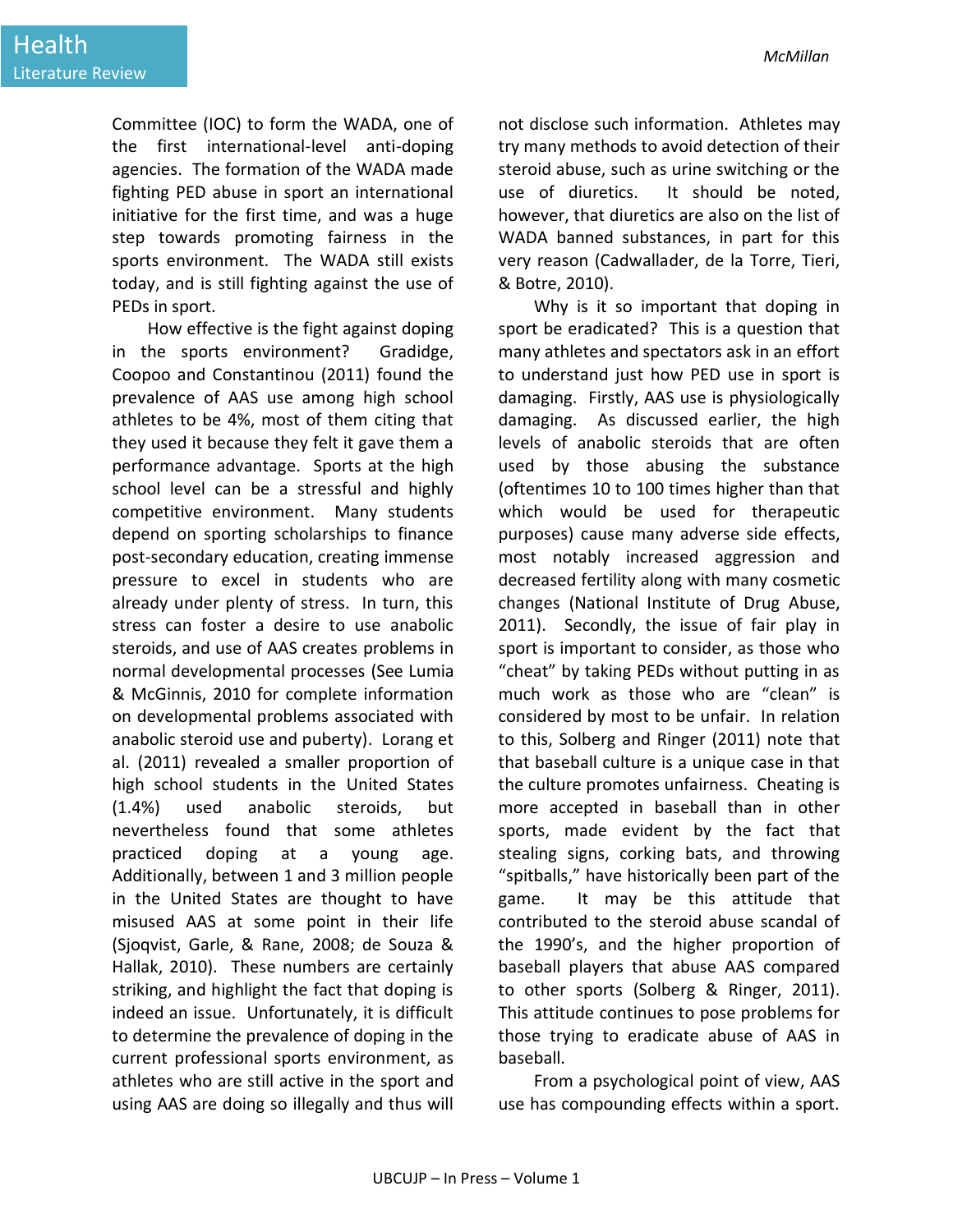Committee (IOC) to form the WADA, one of the first international-level anti-doping agencies. The formation of the WADA made fighting PED abuse in sport an international initiative for the first time, and was a huge step towards promoting fairness in the sports environment. The WADA still exists today, and is still fighting against the use of PEDs in sport.

How effective is the fight against doping in the sports environment? Gradidge, Coopoo and Constantinou (2011) found the prevalence of AAS use among high school athletes to be 4%, most of them citing that they used it because they felt it gave them a performance advantage. Sports at the high school level can be a stressful and highly competitive environment. Many students depend on sporting scholarships to finance post-secondary education, creating immense pressure to excel in students who are already under plenty of stress. In turn, this stress can foster a desire to use anabolic steroids, and use of AAS creates problems in normal developmental processes (See Lumia & McGinnis, 2010 for complete information on developmental problems associated with anabolic steroid use and puberty). Lorang et al. (2011) revealed a smaller proportion of high school students in the United States (1.4%) used anabolic steroids, but nevertheless found that some athletes practiced doping at a young age. Additionally, between 1 and 3 million people in the United States are thought to have misused AAS at some point in their life (Sjoqvist, Garle, & Rane, 2008; de Souza & Hallak, 2010). These numbers are certainly striking, and highlight the fact that doping is indeed an issue. Unfortunately, it is difficult to determine the prevalence of doping in the current professional sports environment, as athletes who are still active in the sport and using AAS are doing so illegally and thus will

not disclose such information. Athletes may try many methods to avoid detection of their steroid abuse, such as urine switching or the use of diuretics. It should be noted, however, that diuretics are also on the list of WADA banned substances, in part for this very reason (Cadwallader, de la Torre, Tieri, & Botre, 2010).

Why is it so important that doping in sport be eradicated? This is a question that many athletes and spectators ask in an effort to understand just how PED use in sport is damaging. Firstly, AAS use is physiologically damaging. As discussed earlier, the high levels of anabolic steroids that are often used by those abusing the substance (oftentimes 10 to 100 times higher than that which would be used for therapeutic purposes) cause many adverse side effects, most notably increased aggression and decreased fertility along with many cosmetic changes (National Institute of Drug Abuse, 2011). Secondly, the issue of fair play in sport is important to consider, as those who "cheat" by taking PEDs without putting in as much work as those who are "clean" is considered by most to be unfair. In relation to this, Solberg and Ringer (2011) note that that baseball culture is a unique case in that the culture promotes unfairness. Cheating is more accepted in baseball than in other sports, made evident by the fact that stealing signs, corking bats, and throwing "spitballs," have historically been part of the game. It may be this attitude that contributed to the steroid abuse scandal of the 1990's, and the higher proportion of baseball players that abuse AAS compared to other sports (Solberg & Ringer, 2011). This attitude continues to pose problems for those trying to eradicate abuse of AAS in baseball.

From a psychological point of view, AAS use has compounding effects within a sport.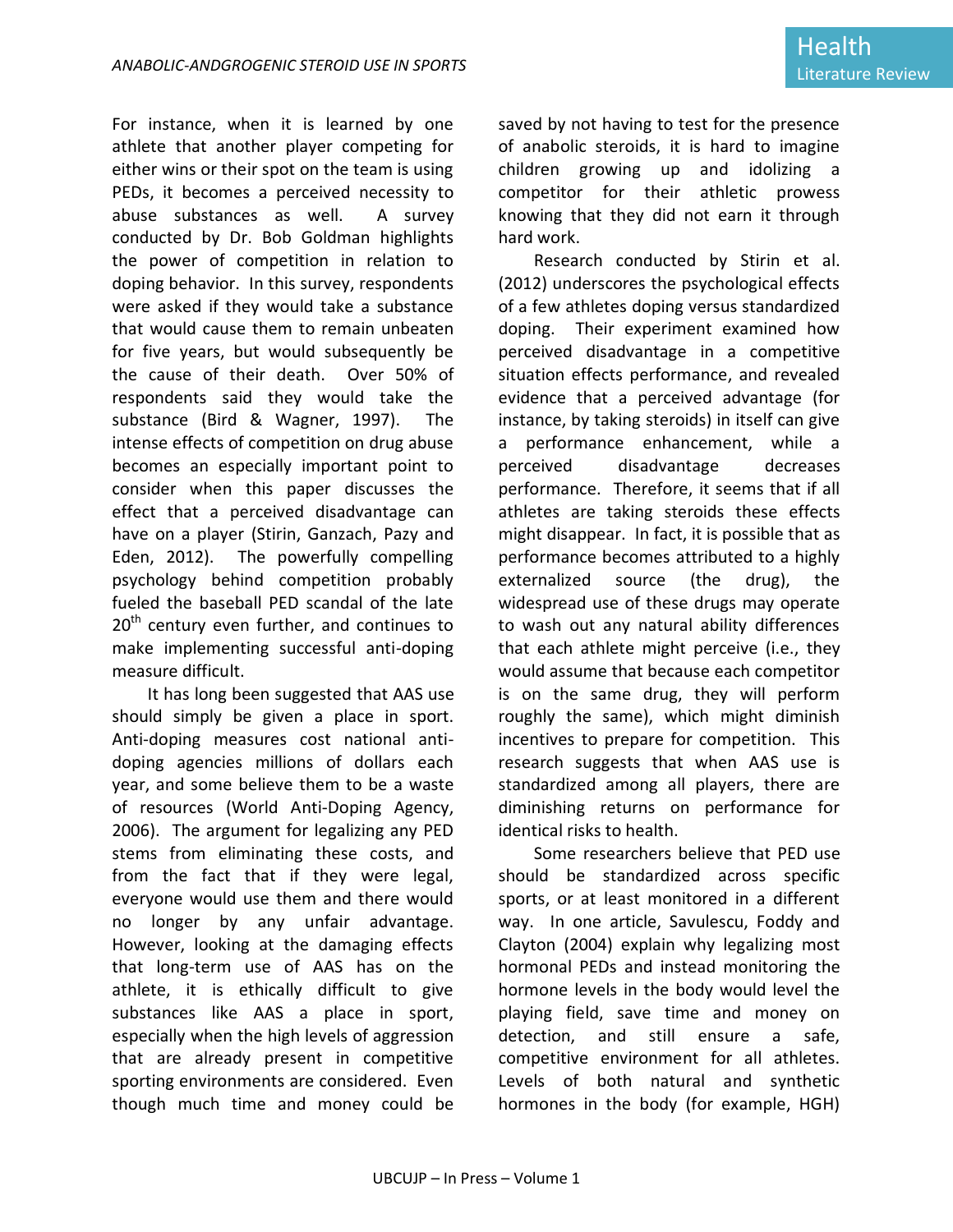For instance, when it is learned by one athlete that another player competing for either wins or their spot on the team is using PEDs, it becomes a perceived necessity to abuse substances as well. A survey conducted by Dr. Bob Goldman highlights the power of competition in relation to doping behavior. In this survey, respondents were asked if they would take a substance that would cause them to remain unbeaten for five years, but would subsequently be the cause of their death. Over 50% of respondents said they would take the substance (Bird & Wagner, 1997). The intense effects of competition on drug abuse becomes an especially important point to consider when this paper discusses the effect that a perceived disadvantage can have on a player (Stirin, Ganzach, Pazy and Eden, 2012). The powerfully compelling psychology behind competition probably fueled the baseball PED scandal of the late  $20<sup>th</sup>$  century even further, and continues to make implementing successful anti-doping measure difficult.

It has long been suggested that AAS use should simply be given a place in sport. Anti-doping measures cost national antidoping agencies millions of dollars each year, and some believe them to be a waste of resources (World Anti-Doping Agency, 2006). The argument for legalizing any PED stems from eliminating these costs, and from the fact that if they were legal, everyone would use them and there would no longer by any unfair advantage. However, looking at the damaging effects that long-term use of AAS has on the athlete, it is ethically difficult to give substances like AAS a place in sport, especially when the high levels of aggression that are already present in competitive sporting environments are considered. Even though much time and money could be

saved by not having to test for the presence of anabolic steroids, it is hard to imagine children growing up and idolizing a competitor for their athletic prowess knowing that they did not earn it through hard work.

Research conducted by Stirin et al. (2012) underscores the psychological effects of a few athletes doping versus standardized doping. Their experiment examined how perceived disadvantage in a competitive situation effects performance, and revealed evidence that a perceived advantage (for instance, by taking steroids) in itself can give a performance enhancement, while a perceived disadvantage decreases performance. Therefore, it seems that if all athletes are taking steroids these effects might disappear. In fact, it is possible that as performance becomes attributed to a highly externalized source (the drug), the widespread use of these drugs may operate to wash out any natural ability differences that each athlete might perceive (i.e., they would assume that because each competitor is on the same drug, they will perform roughly the same), which might diminish incentives to prepare for competition. This research suggests that when AAS use is standardized among all players, there are diminishing returns on performance for identical risks to health.

Some researchers believe that PED use should be standardized across specific sports, or at least monitored in a different way. In one article, Savulescu, Foddy and Clayton (2004) explain why legalizing most hormonal PEDs and instead monitoring the hormone levels in the body would level the playing field, save time and money on detection, and still ensure a safe, competitive environment for all athletes. Levels of both natural and synthetic hormones in the body (for example, HGH)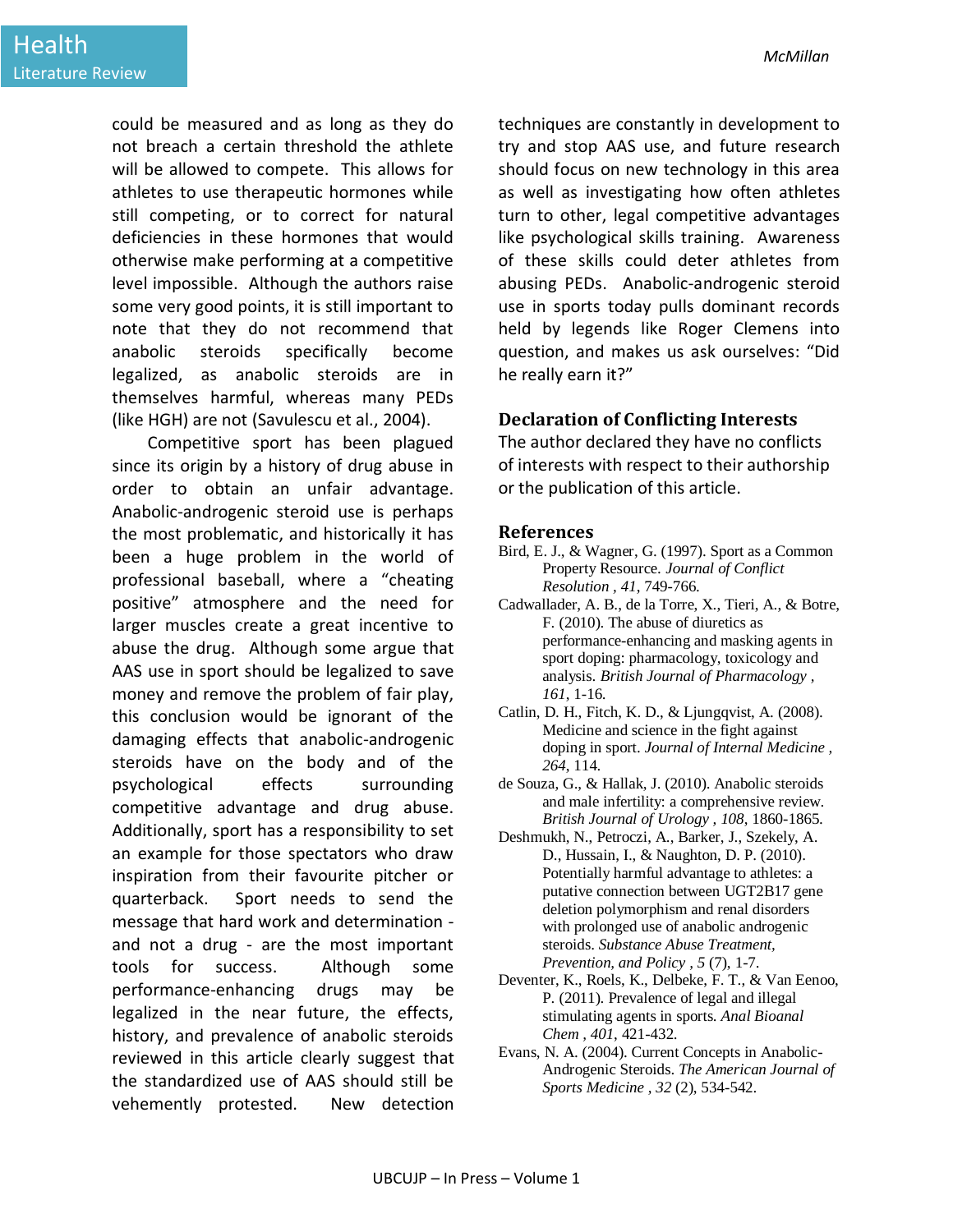could be measured and as long as they do not breach a certain threshold the athlete will be allowed to compete. This allows for athletes to use therapeutic hormones while still competing, or to correct for natural deficiencies in these hormones that would otherwise make performing at a competitive level impossible. Although the authors raise some very good points, it is still important to note that they do not recommend that anabolic steroids specifically become legalized, as anabolic steroids are in themselves harmful, whereas many PEDs (like HGH) are not (Savulescu et al., 2004).

Competitive sport has been plagued since its origin by a history of drug abuse in order to obtain an unfair advantage. Anabolic-androgenic steroid use is perhaps the most problematic, and historically it has been a huge problem in the world of professional baseball, where a "cheating positive" atmosphere and the need for larger muscles create a great incentive to abuse the drug. Although some argue that AAS use in sport should be legalized to save money and remove the problem of fair play, this conclusion would be ignorant of the damaging effects that anabolic-androgenic steroids have on the body and of the psychological effects surrounding competitive advantage and drug abuse. Additionally, sport has a responsibility to set an example for those spectators who draw inspiration from their favourite pitcher or quarterback. Sport needs to send the message that hard work and determination and not a drug - are the most important tools for success. Although some performance-enhancing drugs may be legalized in the near future, the effects, history, and prevalence of anabolic steroids reviewed in this article clearly suggest that the standardized use of AAS should still be vehemently protested. New detection

techniques are constantly in development to try and stop AAS use, and future research should focus on new technology in this area as well as investigating how often athletes turn to other, legal competitive advantages like psychological skills training. Awareness of these skills could deter athletes from abusing PEDs. Anabolic-androgenic steroid use in sports today pulls dominant records held by legends like Roger Clemens into question, and makes us ask ourselves: "Did he really earn it?"

#### **Declaration of Conflicting Interests**

The author declared they have no conflicts of interests with respect to their authorship or the publication of this article.

#### **References**

- Bird, E. J., & Wagner, G. (1997). Sport as a Common Property Resource. *Journal of Conflict Resolution , 41*, 749-766.
- Cadwallader, A. B., de la Torre, X., Tieri, A., & Botre, F. (2010). The abuse of diuretics as performance-enhancing and masking agents in sport doping: pharmacology, toxicology and analysis. *British Journal of Pharmacology , 161*, 1-16.
- Catlin, D. H., Fitch, K. D., & Ljungqvist, A. (2008). Medicine and science in the fight against doping in sport. *Journal of Internal Medicine , 264*, 114.
- de Souza, G., & Hallak, J. (2010). Anabolic steroids and male infertility: a comprehensive review. *British Journal of Urology , 108*, 1860-1865.
- Deshmukh, N., Petroczi, A., Barker, J., Szekely, A. D., Hussain, I., & Naughton, D. P. (2010). Potentially harmful advantage to athletes: a putative connection between UGT2B17 gene deletion polymorphism and renal disorders with prolonged use of anabolic androgenic steroids. *Substance Abuse Treatment, Prevention, and Policy , 5* (7), 1-7.
- Deventer, K., Roels, K., Delbeke, F. T., & Van Eenoo, P. (2011). Prevalence of legal and illegal stimulating agents in sports. *Anal Bioanal Chem , 401*, 421-432.
- Evans, N. A. (2004). Current Concepts in Anabolic-Androgenic Steroids. *The American Journal of Sports Medicine , 32* (2), 534-542.